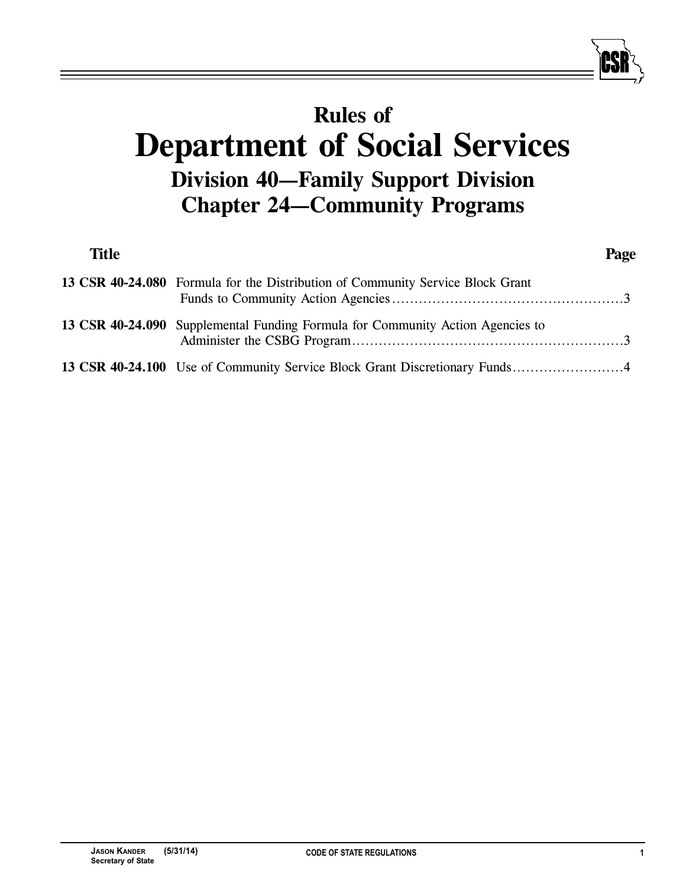# **Rules of Department of Social Services Division 40—Family Support Division Chapter 24—Community Programs**

| <b>Title</b> |                                                                                | Page |
|--------------|--------------------------------------------------------------------------------|------|
|              | 13 CSR 40-24.080 Formula for the Distribution of Community Service Block Grant |      |
|              | 13 CSR 40-24.090 Supplemental Funding Formula for Community Action Agencies to |      |
|              | 13 CSR 40-24.100 Use of Community Service Block Grant Discretionary Funds4     |      |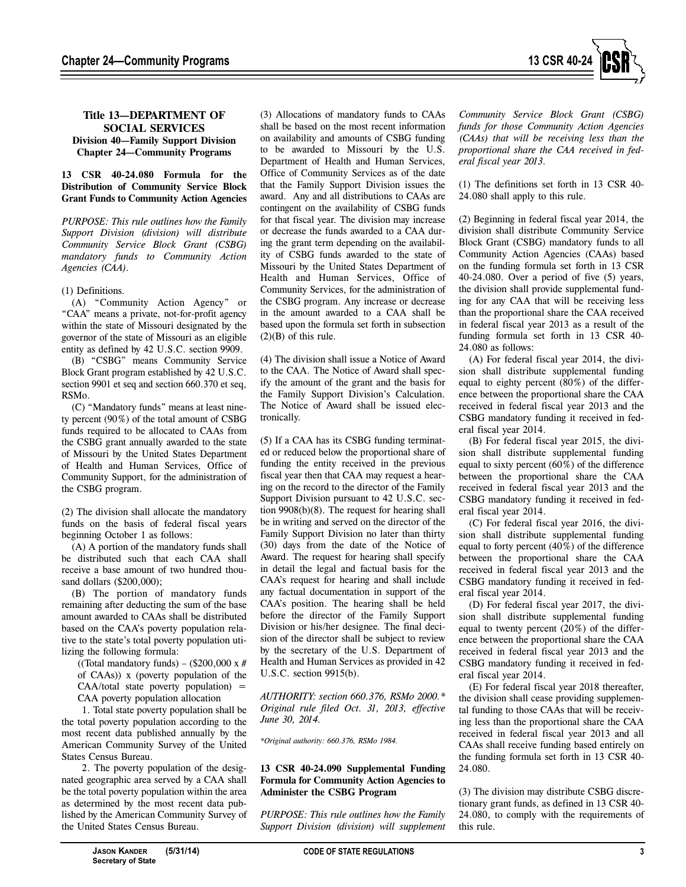

## **Title 13—DEPARTMENT OF SOCIAL SERVICES Division 40—Family Support Division Chapter 24—Community Programs**

**13 CSR 40-24.080 Formula for the Distribution of Community Service Block Grant Funds to Community Action Agencies**

*PURPOSE: This rule outlines how the Family Support Division (division) will distribute Community Service Block Grant (CSBG) mandatory funds to Community Action Agencies (CAA).*

### (1) Definitions.

(A) "Community Action Agency" or "CAA" means a private, not-for-profit agency within the state of Missouri designated by the governor of the state of Missouri as an eligible entity as defined by 42 U.S.C. section 9909.

(B) "CSBG" means Community Service Block Grant program established by 42 U.S.C. section 9901 et seq and section 660.370 et seq, RSMo.

(C) "Mandatory funds" means at least ninety percent (90%) of the total amount of CSBG funds required to be allocated to CAAs from the CSBG grant annually awarded to the state of Missouri by the United States Department of Health and Human Services, Office of Community Support, for the administration of the CSBG program.

(2) The division shall allocate the mandatory funds on the basis of federal fiscal years beginning October 1 as follows:

(A) A portion of the mandatory funds shall be distributed such that each CAA shall receive a base amount of two hundred thousand dollars (\$200,000);

(B) The portion of mandatory funds remaining after deducting the sum of the base amount awarded to CAAs shall be distributed based on the CAA's poverty population relative to the state's total poverty population utilizing the following formula:

((Total mandatory funds) – (\$200,000 x # of CAAs)) x (poverty population of the  $CAA/total$  state poverty population) = CAA poverty population allocation

1. Total state poverty population shall be the total poverty population according to the most recent data published annually by the American Community Survey of the United States Census Bureau.

2. The poverty population of the designated geographic area served by a CAA shall be the total poverty population within the area as determined by the most recent data published by the American Community Survey of the United States Census Bureau.

(3) Allocations of mandatory funds to CAAs shall be based on the most recent information on availability and amounts of CSBG funding to be awarded to Missouri by the U.S. Department of Health and Human Services, Office of Community Services as of the date that the Family Support Division issues the award. Any and all distributions to CAAs are contingent on the availability of CSBG funds for that fiscal year. The division may increase or decrease the funds awarded to a CAA during the grant term depending on the availability of CSBG funds awarded to the state of Missouri by the United States Department of Health and Human Services, Office of Community Services, for the administration of the CSBG program. Any increase or decrease in the amount awarded to a CAA shall be based upon the formula set forth in subsection  $(2)(B)$  of this rule.

(4) The division shall issue a Notice of Award to the CAA. The Notice of Award shall specify the amount of the grant and the basis for the Family Support Division's Calculation. The Notice of Award shall be issued electronically.

(5) If a CAA has its CSBG funding terminated or reduced below the proportional share of funding the entity received in the previous fiscal year then that CAA may request a hearing on the record to the director of the Family Support Division pursuant to 42 U.S.C. section 9908(b)(8). The request for hearing shall be in writing and served on the director of the Family Support Division no later than thirty (30) days from the date of the Notice of Award. The request for hearing shall specify in detail the legal and factual basis for the CAA's request for hearing and shall include any factual documentation in support of the CAA's position. The hearing shall be held before the director of the Family Support Division or his/her designee. The final decision of the director shall be subject to review by the secretary of the U.S. Department of Health and Human Services as provided in 42 U.S.C. section 9915(b).

*AUTHORITY: section 660.376, RSMo 2000.\* Original rule filed Oct. 31, 2013, effective June 30, 2014.*

*\*Original authority: 660.376, RSMo 1984.*

### **13 CSR 40-24.090 Supplemental Funding Formula for Community Action Agencies to Administer the CSBG Program**

*PURPOSE: This rule outlines how the Family Support Division (division) will supplement*

*Community Service Block Grant (CSBG) funds for those Community Action Agencies (CAAs) that will be receiving less than the proportional share the CAA received in federal fiscal year 2013.*

(1) The definitions set forth in 13 CSR 40- 24.080 shall apply to this rule.

(2) Beginning in federal fiscal year 2014, the division shall distribute Community Service Block Grant (CSBG) mandatory funds to all Community Action Agencies (CAAs) based on the funding formula set forth in 13 CSR 40-24.080. Over a period of five (5) years, the division shall provide supplemental funding for any CAA that will be receiving less than the proportional share the CAA received in federal fiscal year 2013 as a result of the funding formula set forth in 13 CSR 40- 24.080 as follows:

(A) For federal fiscal year 2014, the division shall distribute supplemental funding equal to eighty percent (80%) of the difference between the proportional share the CAA received in federal fiscal year 2013 and the CSBG mandatory funding it received in federal fiscal year 2014.

(B) For federal fiscal year 2015, the division shall distribute supplemental funding equal to sixty percent (60%) of the difference between the proportional share the CAA received in federal fiscal year 2013 and the CSBG mandatory funding it received in federal fiscal year 2014.

(C) For federal fiscal year 2016, the division shall distribute supplemental funding equal to forty percent (40%) of the difference between the proportional share the CAA received in federal fiscal year 2013 and the CSBG mandatory funding it received in federal fiscal year 2014.

(D) For federal fiscal year 2017, the division shall distribute supplemental funding equal to twenty percent (20%) of the difference between the proportional share the CAA received in federal fiscal year 2013 and the CSBG mandatory funding it received in federal fiscal year 2014.

(E) For federal fiscal year 2018 thereafter, the division shall cease providing supplemental funding to those CAAs that will be receiving less than the proportional share the CAA received in federal fiscal year 2013 and all CAAs shall receive funding based entirely on the funding formula set forth in 13 CSR 40- 24.080.

(3) The division may distribute CSBG discretionary grant funds, as defined in 13 CSR 40- 24.080, to comply with the requirements of this rule.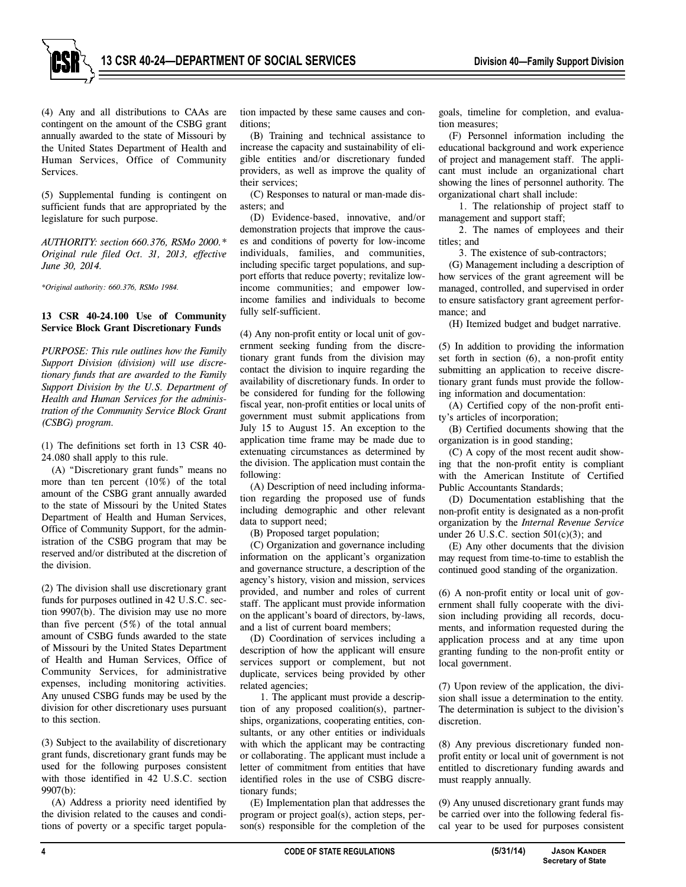(4) Any and all distributions to CAAs are contingent on the amount of the CSBG grant annually awarded to the state of Missouri by the United States Department of Health and Human Services, Office of Community Services.

(5) Supplemental funding is contingent on sufficient funds that are appropriated by the legislature for such purpose.

*AUTHORITY: section 660.376, RSMo 2000.\* Original rule filed Oct. 31, 2013, effective June 30, 2014.*

*\*Original authority: 660.376, RSMo 1984.* 

## **13 CSR 40-24.100 Use of Community Service Block Grant Discretionary Funds**

*PURPOSE: This rule outlines how the Family Support Division (division) will use discretionary funds that are awarded to the Family Support Division by the U.S. Department of Health and Human Services for the administration of the Community Service Block Grant (CSBG) program.*

(1) The definitions set forth in 13 CSR 40- 24.080 shall apply to this rule.

(A) "Discretionary grant funds" means no more than ten percent (10%) of the total amount of the CSBG grant annually awarded to the state of Missouri by the United States Department of Health and Human Services, Office of Community Support, for the administration of the CSBG program that may be reserved and/or distributed at the discretion of the division.

(2) The division shall use discretionary grant funds for purposes outlined in 42 U.S.C. section 9907(b). The division may use no more than five percent  $(5%)$  of the total annual amount of CSBG funds awarded to the state of Missouri by the United States Department of Health and Human Services, Office of Community Services, for administrative expenses, including monitoring activities. Any unused CSBG funds may be used by the division for other discretionary uses pursuant to this section.

(3) Subject to the availability of discretionary grant funds, discretionary grant funds may be used for the following purposes consistent with those identified in 42 U.S.C. section 9907(b):

(A) Address a priority need identified by the division related to the causes and conditions of poverty or a specific target population impacted by these same causes and conditions;

(B) Training and technical assistance to increase the capacity and sustainability of eligible entities and/or discretionary funded providers, as well as improve the quality of their services;

(C) Responses to natural or man-made disasters; and

(D) Evidence-based, innovative, and/or demonstration projects that improve the causes and conditions of poverty for low-income individuals, families, and communities, including specific target populations, and support efforts that reduce poverty; revitalize lowincome communities; and empower lowincome families and individuals to become fully self-sufficient.

(4) Any non-profit entity or local unit of government seeking funding from the discretionary grant funds from the division may contact the division to inquire regarding the availability of discretionary funds. In order to be considered for funding for the following fiscal year, non-profit entities or local units of government must submit applications from July 15 to August 15. An exception to the application time frame may be made due to extenuating circumstances as determined by the division. The application must contain the following:

(A) Description of need including information regarding the proposed use of funds including demographic and other relevant data to support need;

(B) Proposed target population;

(C) Organization and governance including information on the applicant's organization and governance structure, a description of the agency's history, vision and mission, services provided, and number and roles of current staff. The applicant must provide information on the applicant's board of directors, by-laws, and a list of current board members;

(D) Coordination of services including a description of how the applicant will ensure services support or complement, but not duplicate, services being provided by other related agencies;

1. The applicant must provide a description of any proposed coalition(s), partnerships, organizations, cooperating entities, consultants, or any other entities or individuals with which the applicant may be contracting or collaborating. The applicant must include a letter of commitment from entities that have identified roles in the use of CSBG discretionary funds;

(E) Implementation plan that addresses the program or project goal(s), action steps, person(s) responsible for the completion of the goals, timeline for completion, and evaluation measures;

(F) Personnel information including the educational background and work experience of project and management staff. The applicant must include an organizational chart showing the lines of personnel authority. The organizational chart shall include:

1. The relationship of project staff to management and support staff;

2. The names of employees and their titles; and

3. The existence of sub-contractors;

(G) Management including a description of how services of the grant agreement will be managed, controlled, and supervised in order to ensure satisfactory grant agreement performance; and

(H) Itemized budget and budget narrative.

(5) In addition to providing the information set forth in section (6), a non-profit entity submitting an application to receive discretionary grant funds must provide the following information and documentation:

(A) Certified copy of the non-profit entity's articles of incorporation;

(B) Certified documents showing that the organization is in good standing;

(C) A copy of the most recent audit showing that the non-profit entity is compliant with the American Institute of Certified Public Accountants Standards;

(D) Documentation establishing that the non-profit entity is designated as a non-profit organization by the *Internal Revenue Service* under 26 U.S.C. section  $501(c)(3)$ ; and

(E) Any other documents that the division may request from time-to-time to establish the continued good standing of the organization.

(6) A non-profit entity or local unit of government shall fully cooperate with the division including providing all records, documents, and information requested during the application process and at any time upon granting funding to the non-profit entity or local government.

(7) Upon review of the application, the division shall issue a determination to the entity. The determination is subject to the division's discretion.

(8) Any previous discretionary funded nonprofit entity or local unit of government is not entitled to discretionary funding awards and must reapply annually.

(9) Any unused discretionary grant funds may be carried over into the following federal fiscal year to be used for purposes consistent